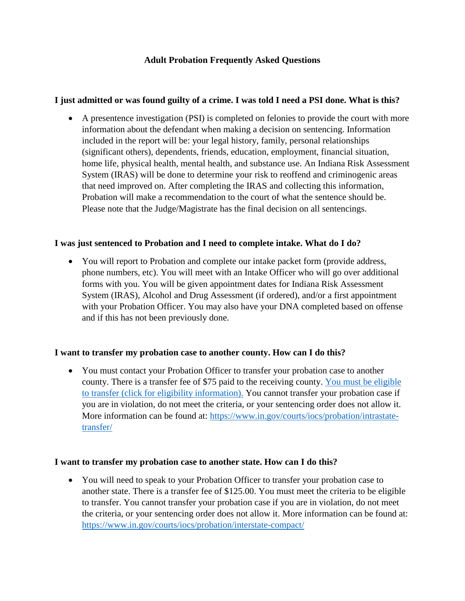## **Adult Probation Frequently Asked Questions**

#### **I just admitted or was found guilty of a crime. I was told I need a PSI done. What is this?**

• A presentence investigation (PSI) is completed on felonies to provide the court with more information about the defendant when making a decision on sentencing. Information included in the report will be: your legal history, family, personal relationships (significant others), dependents, friends, education, employment, financial situation, home life, physical health, mental health, and substance use. An Indiana Risk Assessment System (IRAS) will be done to determine your risk to reoffend and criminogenic areas that need improved on. After completing the IRAS and collecting this information, Probation will make a recommendation to the court of what the sentence should be. Please note that the Judge/Magistrate has the final decision on all sentencings.

#### **I was just sentenced to Probation and I need to complete intake. What do I do?**

• You will report to Probation and complete our intake packet form (provide address, phone numbers, etc). You will meet with an Intake Officer who will go over additional forms with you. You will be given appointment dates for Indiana Risk Assessment System (IRAS), Alcohol and Drug Assessment (if ordered), and/or a first appointment with your Probation Officer. You may also have your DNA completed based on offense and if this has not been previously done.

#### **I want to transfer my probation case to another county. How can I do this?**

• You must contact your Probation Officer to transfer your probation case to another county. There is a transfer fee of \$75 paid to the receiving county. [You must be eligible](https://www.co.shelby.in.us/wp-content/uploads/2021/02/CCF_000126.pdf)  to transfer [\(click for eligibility information\).](https://www.co.shelby.in.us/wp-content/uploads/2021/02/CCF_000126.pdf) You cannot transfer your probation case if you are in violation, do not meet the criteria, or your sentencing order does not allow it. More information can be found at: [https://www.in.gov/courts/iocs/probation/intrastate](https://www.in.gov/courts/iocs/probation/intrastate-transfer/)[transfer/](https://www.in.gov/courts/iocs/probation/intrastate-transfer/)

#### **I want to transfer my probation case to another state. How can I do this?**

• You will need to speak to your Probation Officer to transfer your probation case to another state. There is a transfer fee of \$125.00. You must meet the criteria to be eligible to transfer. You cannot transfer your probation case if you are in violation, do not meet the criteria, or your sentencing order does not allow it. More information can be found at: <https://www.in.gov/courts/iocs/probation/interstate-compact/>